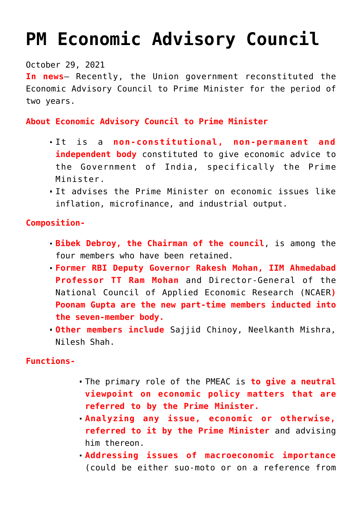# **[PM Economic Advisory Council](https://journalsofindia.com/pm-economic-advisory-council/)**

### October 29, 2021

**In news**– Recently, the Union government reconstituted the Economic Advisory Council to Prime Minister for the period of two years.

## **About Economic Advisory Council to Prime Minister**

- It is a **non-constitutional, non-permanent and independent body** constituted to give economic advice to the Government of India, specifically the Prime Minister.
- It advises the Prime Minister on economic issues like inflation, microfinance, and industrial output.

## **Composition-**

- **Bibek Debroy, the Chairman of the council**, is among the four members who have been retained.
- **Former RBI Deputy Governor Rakesh Mohan, IIM Ahmedabad Professor TT Ram Mohan** and Director-General of the National Council of Applied Economic Research (NCAER**) Poonam Gupta are the new part-time members inducted into the seven-member body.**
- **Other members include** Sajjid Chinoy, Neelkanth Mishra, Nilesh Shah.

### **Functions-**

- The primary role of the PMEAC is **to give a neutral viewpoint on economic policy matters that are referred to by the Prime Minister.**
- **Analyzing any issue, economic or otherwise, referred to it by the Prime Minister** and advising him thereon.
- **Addressing issues of macroeconomic importance** (could be either suo-moto or on a reference from